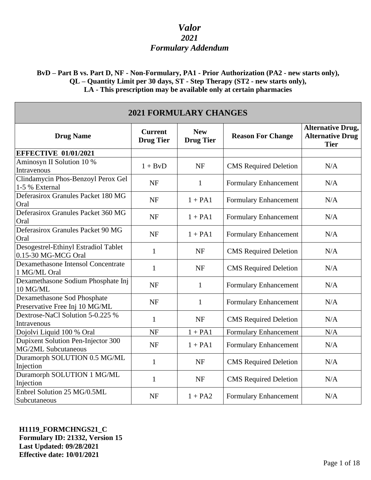### **BvD – Part B vs. Part D, NF - Non-Formulary, PA1 - Prior Authorization (PA2 - new starts only), QL – Quantity Limit per 30 days, ST - Step Therapy (ST2 - new starts only), LA - This prescription may be available only at certain pharmacies**

| <b>2021 FORMULARY CHANGES</b>                                    |                                    |                                |                              |                                                                    |
|------------------------------------------------------------------|------------------------------------|--------------------------------|------------------------------|--------------------------------------------------------------------|
| <b>Drug Name</b>                                                 | <b>Current</b><br><b>Drug Tier</b> | <b>New</b><br><b>Drug Tier</b> | <b>Reason For Change</b>     | <b>Alternative Drug,</b><br><b>Alternative Drug</b><br><b>Tier</b> |
| <b>EFFECTIVE 01/01/2021</b>                                      |                                    |                                |                              |                                                                    |
| Aminosyn II Solution 10 %<br>Intravenous                         | $1 + BvD$                          | <b>NF</b>                      | <b>CMS</b> Required Deletion | N/A                                                                |
| Clindamycin Phos-Benzoyl Perox Gel<br>1-5 % External             | <b>NF</b>                          | 1                              | Formulary Enhancement        | N/A                                                                |
| Deferasirox Granules Packet 180 MG<br>Oral                       | <b>NF</b>                          | $1 + PA1$                      | Formulary Enhancement        | N/A                                                                |
| Deferasirox Granules Packet 360 MG<br>Oral                       | <b>NF</b>                          | $1 + PA1$                      | Formulary Enhancement        | N/A                                                                |
| Deferasirox Granules Packet 90 MG<br>Oral                        | <b>NF</b>                          | $1 + PA1$                      | Formulary Enhancement        | N/A                                                                |
| Desogestrel-Ethinyl Estradiol Tablet<br>0.15-30 MG-MCG Oral      | $\mathbf{1}$                       | <b>NF</b>                      | <b>CMS</b> Required Deletion | N/A                                                                |
| Dexamethasone Intensol Concentrate<br>1 MG/ML Oral               | $\mathbf{1}$                       | <b>NF</b>                      | <b>CMS</b> Required Deletion | N/A                                                                |
| Dexamethasone Sodium Phosphate Inj<br>10 MG/ML                   | <b>NF</b>                          | 1                              | Formulary Enhancement        | N/A                                                                |
| Dexamethasone Sod Phosphate<br>Preservative Free Inj 10 MG/ML    | <b>NF</b>                          | $\mathbf{1}$                   | Formulary Enhancement        | N/A                                                                |
| Dextrose-NaCl Solution 5-0.225 %<br>Intravenous                  | 1                                  | <b>NF</b>                      | <b>CMS</b> Required Deletion | N/A                                                                |
| Dojolvi Liquid 100 % Oral                                        | <b>NF</b>                          | $1 + PA1$                      | Formulary Enhancement        | N/A                                                                |
| Dupixent Solution Pen-Injector 300<br><b>MG/2ML Subcutaneous</b> | <b>NF</b>                          | $1 + PA1$                      | <b>Formulary Enhancement</b> | N/A                                                                |
| Duramorph SOLUTION 0.5 MG/ML<br>Injection                        | $\mathbf{1}$                       | <b>NF</b>                      | <b>CMS</b> Required Deletion | N/A                                                                |
| Duramorph SOLUTION 1 MG/ML<br>Injection                          | $\mathbf{1}$                       | <b>NF</b>                      | <b>CMS</b> Required Deletion | N/A                                                                |
| Enbrel Solution 25 MG/0.5ML<br>Subcutaneous                      | <b>NF</b>                          | $1 + PA2$                      | <b>Formulary Enhancement</b> | N/A                                                                |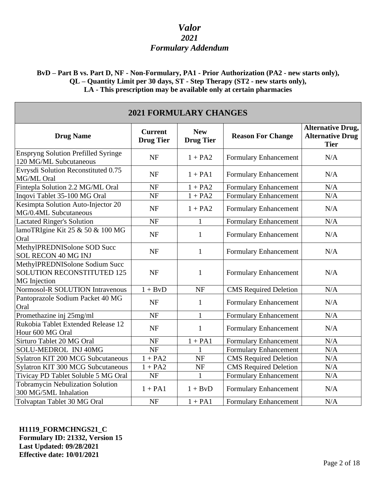### **BvD – Part B vs. Part D, NF - Non-Formulary, PA1 - Prior Authorization (PA2 - new starts only), QL – Quantity Limit per 30 days, ST - Step Therapy (ST2 - new starts only), LA - This prescription may be available only at certain pharmacies**

| <b>2021 FORMULARY CHANGES</b>                                                       |                                    |                                |                              |                                                                    |
|-------------------------------------------------------------------------------------|------------------------------------|--------------------------------|------------------------------|--------------------------------------------------------------------|
| <b>Drug Name</b>                                                                    | <b>Current</b><br><b>Drug Tier</b> | <b>New</b><br><b>Drug Tier</b> | <b>Reason For Change</b>     | <b>Alternative Drug,</b><br><b>Alternative Drug</b><br><b>Tier</b> |
| <b>Enspryng Solution Prefilled Syringe</b><br>120 MG/ML Subcutaneous                | <b>NF</b>                          | $1 + PA2$                      | Formulary Enhancement        | N/A                                                                |
| Evrysdi Solution Reconstituted 0.75<br>MG/ML Oral                                   | <b>NF</b>                          | $1 + PA1$                      | Formulary Enhancement        | N/A                                                                |
| Fintepla Solution 2.2 MG/ML Oral                                                    | <b>NF</b>                          | $1 + PA2$                      | <b>Formulary Enhancement</b> | N/A                                                                |
| Inqovi Tablet 35-100 MG Oral                                                        | <b>NF</b>                          | $1 + PA2$                      | <b>Formulary Enhancement</b> | N/A                                                                |
| Kesimpta Solution Auto-Injector 20<br>MG/0.4ML Subcutaneous                         | <b>NF</b>                          | $1 + PA2$                      | Formulary Enhancement        | N/A                                                                |
| <b>Lactated Ringer's Solution</b>                                                   | <b>NF</b>                          | 1                              | <b>Formulary Enhancement</b> | N/A                                                                |
| lamoTRIgine Kit 25 & 50 & 100 MG<br>Oral                                            | <b>NF</b>                          | $\mathbf{1}$                   | <b>Formulary Enhancement</b> | N/A                                                                |
| MethylPREDNISolone SOD Succ<br><b>SOL RECON 40 MG INJ</b>                           | <b>NF</b>                          | $\mathbf{1}$                   | Formulary Enhancement        | N/A                                                                |
| MethylPREDNISolone Sodium Succ<br><b>SOLUTION RECONSTITUTED 125</b><br>MG Injection | <b>NF</b>                          | $\mathbf{1}$                   | Formulary Enhancement        | N/A                                                                |
| Normosol-R SOLUTION Intravenous                                                     | $1 + BvD$                          | <b>NF</b>                      | <b>CMS</b> Required Deletion | N/A                                                                |
| Pantoprazole Sodium Packet 40 MG<br>Oral                                            | <b>NF</b>                          | $\mathbf{1}$                   | Formulary Enhancement        | N/A                                                                |
| Promethazine inj 25mg/ml                                                            | NF                                 | $\mathbf{1}$                   | <b>Formulary Enhancement</b> | N/A                                                                |
| Rukobia Tablet Extended Release 12<br>Hour 600 MG Oral                              | <b>NF</b>                          | $\mathbf{1}$                   | Formulary Enhancement        | N/A                                                                |
| Sirturo Tablet 20 MG Oral                                                           | <b>NF</b>                          | $1 + PA1$                      | Formulary Enhancement        | N/A                                                                |
| SOLU-MEDROL INJ 40MG                                                                | <b>NF</b>                          |                                | Formulary Enhancement        | N/A                                                                |
| Sylatron KIT 200 MCG Subcutaneous                                                   | $1 + PA2$                          | <b>NF</b>                      | <b>CMS</b> Required Deletion | $\rm N/A$                                                          |
| <b>Sylatron KIT 300 MCG Subcutaneous</b>                                            | $1 + PA2$                          | <b>NF</b>                      | <b>CMS</b> Required Deletion | N/A                                                                |
| Tivicay PD Tablet Soluble 5 MG Oral                                                 | $\rm{NF}$                          | 1                              | Formulary Enhancement        | $\rm N/A$                                                          |
| <b>Tobramycin Nebulization Solution</b><br>300 MG/5ML Inhalation                    | $1 + PA1$                          | $1 + BvD$                      | <b>Formulary Enhancement</b> | N/A                                                                |
| Tolvaptan Tablet 30 MG Oral                                                         | <b>NF</b>                          | $1 + PA1$                      | <b>Formulary Enhancement</b> | N/A                                                                |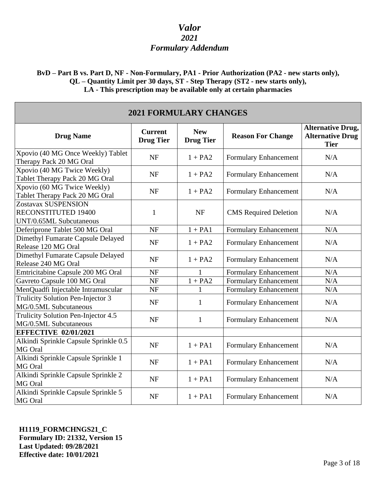**BvD – Part B vs. Part D, NF - Non-Formulary, PA1 - Prior Authorization (PA2 - new starts only), QL – Quantity Limit per 30 days, ST - Step Therapy (ST2 - new starts only), LA - This prescription may be available only at certain pharmacies**

| <b>2021 FORMULARY CHANGES</b>                                         |                                    |                                |                              |                                                                    |
|-----------------------------------------------------------------------|------------------------------------|--------------------------------|------------------------------|--------------------------------------------------------------------|
| <b>Drug Name</b>                                                      | <b>Current</b><br><b>Drug Tier</b> | <b>New</b><br><b>Drug Tier</b> | <b>Reason For Change</b>     | <b>Alternative Drug,</b><br><b>Alternative Drug</b><br><b>Tier</b> |
| Xpovio (40 MG Once Weekly) Tablet<br>Therapy Pack 20 MG Oral          | <b>NF</b>                          | $1 + PA2$                      | Formulary Enhancement        | N/A                                                                |
| Xpovio (40 MG Twice Weekly)<br>Tablet Therapy Pack 20 MG Oral         | <b>NF</b>                          | $1 + PA2$                      | Formulary Enhancement        | N/A                                                                |
| Xpovio (60 MG Twice Weekly)<br>Tablet Therapy Pack 20 MG Oral         | <b>NF</b>                          | $1 + PA2$                      | Formulary Enhancement        | N/A                                                                |
| Zostavax SUSPENSION<br>RECONSTITUTED 19400<br>UNT/0.65ML Subcutaneous | 1                                  | <b>NF</b>                      | <b>CMS</b> Required Deletion | N/A                                                                |
| Deferiprone Tablet 500 MG Oral                                        | <b>NF</b>                          | $1 + PA1$                      | Formulary Enhancement        | N/A                                                                |
| Dimethyl Fumarate Capsule Delayed<br>Release 120 MG Oral              | <b>NF</b>                          | $1 + PA2$                      | <b>Formulary Enhancement</b> | N/A                                                                |
| Dimethyl Fumarate Capsule Delayed<br>Release 240 MG Oral              | <b>NF</b>                          | $1 + PA2$                      | Formulary Enhancement        | N/A                                                                |
| Emtricitabine Capsule 200 MG Oral                                     | <b>NF</b>                          |                                | <b>Formulary Enhancement</b> | N/A                                                                |
| Gavreto Capsule 100 MG Oral                                           | <b>NF</b>                          | $1 + PA2$                      | Formulary Enhancement        | N/A                                                                |
| MenQuadfi Injectable Intramuscular                                    | NF                                 |                                | Formulary Enhancement        | N/A                                                                |
| Trulicity Solution Pen-Injector 3<br>MG/0.5ML Subcutaneous            | <b>NF</b>                          | $\mathbf{1}$                   | Formulary Enhancement        | N/A                                                                |
| Trulicity Solution Pen-Injector 4.5<br>MG/0.5ML Subcutaneous          | <b>NF</b>                          | $\mathbf{1}$                   | <b>Formulary Enhancement</b> | N/A                                                                |
| <b>EFFECTIVE 02/01/2021</b>                                           |                                    |                                |                              |                                                                    |
| Alkindi Sprinkle Capsule Sprinkle 0.5<br>MG Oral                      | <b>NF</b>                          | $1 + PA1$                      | Formulary Enhancement        | N/A                                                                |
| Alkindi Sprinkle Capsule Sprinkle 1<br>MG Oral                        | <b>NF</b>                          | $1 + PA1$                      | Formulary Enhancement        | N/A                                                                |
| Alkindi Sprinkle Capsule Sprinkle 2<br>MG Oral                        | <b>NF</b>                          | $1 + PA1$                      | Formulary Enhancement        | N/A                                                                |
| Alkindi Sprinkle Capsule Sprinkle 5<br>MG Oral                        | <b>NF</b>                          | $1 + PA1$                      | Formulary Enhancement        | N/A                                                                |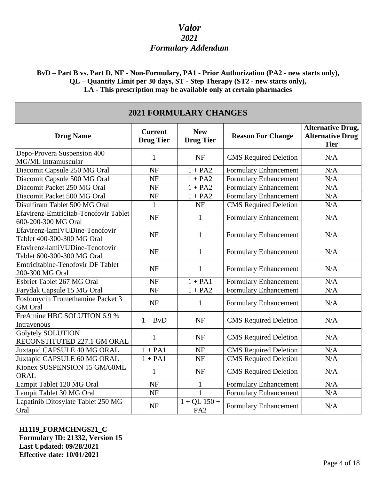### **BvD – Part B vs. Part D, NF - Non-Formulary, PA1 - Prior Authorization (PA2 - new starts only), QL – Quantity Limit per 30 days, ST - Step Therapy (ST2 - new starts only), LA - This prescription may be available only at certain pharmacies**

| <b>2021 FORMULARY CHANGES</b>                                |                                    |                                   |                              |                                                                    |
|--------------------------------------------------------------|------------------------------------|-----------------------------------|------------------------------|--------------------------------------------------------------------|
| <b>Drug Name</b>                                             | <b>Current</b><br><b>Drug Tier</b> | <b>New</b><br><b>Drug Tier</b>    | <b>Reason For Change</b>     | <b>Alternative Drug,</b><br><b>Alternative Drug</b><br><b>Tier</b> |
| Depo-Provera Suspension 400<br>MG/ML Intramuscular           | 1                                  | <b>NF</b>                         | <b>CMS</b> Required Deletion | N/A                                                                |
| Diacomit Capsule 250 MG Oral                                 | <b>NF</b>                          | $1 + PA2$                         | <b>Formulary Enhancement</b> | N/A                                                                |
| Diacomit Capsule 500 MG Oral                                 | <b>NF</b>                          | $1 + PA2$                         | Formulary Enhancement        | $\rm N/A$                                                          |
| Diacomit Packet 250 MG Oral                                  | <b>NF</b>                          | $1 + PA2$                         | Formulary Enhancement        | N/A                                                                |
| Diacomit Packet 500 MG Oral                                  | <b>NF</b>                          | $1 + PA2$                         | Formulary Enhancement        | N/A                                                                |
| Disulfiram Tablet 500 MG Oral                                | $\mathbf{1}$                       | <b>NF</b>                         | <b>CMS</b> Required Deletion | N/A                                                                |
| Efavirenz-Emtricitab-Tenofovir Tablet<br>600-200-300 MG Oral | <b>NF</b>                          | $\mathbf{1}$                      | Formulary Enhancement        | N/A                                                                |
| Efavirenz-lamiVUDine-Tenofovir<br>Tablet 400-300-300 MG Oral | <b>NF</b>                          | $\mathbf{1}$                      | Formulary Enhancement        | N/A                                                                |
| Efavirenz-lamiVUDine-Tenofovir<br>Tablet 600-300-300 MG Oral | <b>NF</b>                          | $\mathbf{1}$                      | Formulary Enhancement        | N/A                                                                |
| Emtricitabine-Tenofovir DF Tablet<br>200-300 MG Oral         | <b>NF</b>                          | $\mathbf{1}$                      | Formulary Enhancement        | N/A                                                                |
| Esbriet Tablet 267 MG Oral                                   | <b>NF</b>                          | $1 + PA1$                         | Formulary Enhancement        | N/A                                                                |
| Farydak Capsule 15 MG Oral                                   | <b>NF</b>                          | $1 + PA2$                         | Formulary Enhancement        | N/A                                                                |
| Fosfomycin Tromethamine Packet 3<br><b>GM</b> Oral           | <b>NF</b>                          | $\mathbf{1}$                      | Formulary Enhancement        | N/A                                                                |
| FreAmine HBC SOLUTION 6.9 %<br>Intravenous                   | $1 + BvD$                          | <b>NF</b>                         | <b>CMS</b> Required Deletion | N/A                                                                |
| <b>Golytely SOLUTION</b><br>RECONSTITUTED 227.1 GM ORAL      | $\mathbf{1}$                       | <b>NF</b>                         | <b>CMS</b> Required Deletion | N/A                                                                |
| Juxtapid CAPSULE 40 MG ORAL                                  | $1 + PA1$                          | <b>NF</b>                         | <b>CMS</b> Required Deletion | N/A                                                                |
| Juxtapid CAPSULE 60 MG ORAL                                  | $1 + PA1$                          | NF                                | <b>CMS</b> Required Deletion | N/A                                                                |
| Kionex SUSPENSION 15 GM/60ML<br>ORAL                         | $\mathbf{1}$                       | <b>NF</b>                         | <b>CMS</b> Required Deletion | N/A                                                                |
| Lampit Tablet 120 MG Oral                                    | <b>NF</b>                          | $\mathbf{1}$                      | Formulary Enhancement        | N/A                                                                |
| Lampit Tablet 30 MG Oral                                     | <b>NF</b>                          | $\mathbf{1}$                      | Formulary Enhancement        | N/A                                                                |
| Lapatinib Ditosylate Tablet 250 MG<br>Oral                   | <b>NF</b>                          | $1 + QL$ 150 +<br>PA <sub>2</sub> | Formulary Enhancement        | N/A                                                                |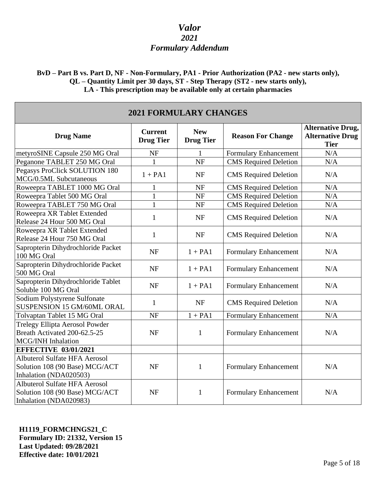**BvD – Part B vs. Part D, NF - Non-Formulary, PA1 - Prior Authorization (PA2 - new starts only), QL – Quantity Limit per 30 days, ST - Step Therapy (ST2 - new starts only), LA - This prescription may be available only at certain pharmacies**

| <b>2021 FORMULARY CHANGES</b>                                                                    |                                    |                                |                              |                                                                    |
|--------------------------------------------------------------------------------------------------|------------------------------------|--------------------------------|------------------------------|--------------------------------------------------------------------|
| <b>Drug Name</b>                                                                                 | <b>Current</b><br><b>Drug Tier</b> | <b>New</b><br><b>Drug Tier</b> | <b>Reason For Change</b>     | <b>Alternative Drug,</b><br><b>Alternative Drug</b><br><b>Tier</b> |
| metyroSINE Capsule 250 MG Oral                                                                   | <b>NF</b>                          | 1                              | Formulary Enhancement        | N/A                                                                |
| Peganone TABLET 250 MG Oral                                                                      | 1                                  | <b>NF</b>                      | <b>CMS</b> Required Deletion | N/A                                                                |
| Pegasys ProClick SOLUTION 180<br>MCG/0.5ML Subcutaneous                                          | $1 + PA1$                          | <b>NF</b>                      | <b>CMS</b> Required Deletion | N/A                                                                |
| Roweepra TABLET 1000 MG Oral                                                                     | $\mathbf{1}$                       | <b>NF</b>                      | <b>CMS</b> Required Deletion | N/A                                                                |
| Roweepra Tablet 500 MG Oral                                                                      | $\mathbf{1}$                       | <b>NF</b>                      | <b>CMS</b> Required Deletion | N/A                                                                |
| Roweepra TABLET 750 MG Oral                                                                      | $\mathbf{1}$                       | <b>NF</b>                      | <b>CMS</b> Required Deletion | $\rm N/A$                                                          |
| Roweepra XR Tablet Extended<br>Release 24 Hour 500 MG Oral                                       | $\mathbf{1}$                       | <b>NF</b>                      | <b>CMS</b> Required Deletion | N/A                                                                |
| Roweepra XR Tablet Extended<br>Release 24 Hour 750 MG Oral                                       | $\mathbf{1}$                       | <b>NF</b>                      | <b>CMS</b> Required Deletion | N/A                                                                |
| Sapropterin Dihydrochloride Packet<br>100 MG Oral                                                | <b>NF</b>                          | $1 + PA1$                      | Formulary Enhancement        | N/A                                                                |
| Sapropterin Dihydrochloride Packet<br>500 MG Oral                                                | <b>NF</b>                          | $1 + PA1$                      | Formulary Enhancement        | N/A                                                                |
| Sapropterin Dihydrochloride Tablet<br>Soluble 100 MG Oral                                        | <b>NF</b>                          | $1 + PA1$                      | Formulary Enhancement        | N/A                                                                |
| Sodium Polystyrene Sulfonate<br>SUSPENSION 15 GM/60ML ORAL                                       | 1                                  | <b>NF</b>                      | <b>CMS</b> Required Deletion | N/A                                                                |
| Tolvaptan Tablet 15 MG Oral                                                                      | <b>NF</b>                          | $1 + PA1$                      | Formulary Enhancement        | N/A                                                                |
| Trelegy Ellipta Aerosol Powder<br>Breath Activated 200-62.5-25<br>MCG/INH Inhalation             | <b>NF</b>                          | 1                              | <b>Formulary Enhancement</b> | N/A                                                                |
| <b>EFFECTIVE 03/01/2021</b>                                                                      |                                    |                                |                              |                                                                    |
| <b>Albuterol Sulfate HFA Aerosol</b><br>Solution 108 (90 Base) MCG/ACT<br>Inhalation (NDA020503) | <b>NF</b>                          | $\mathbf{1}$                   | <b>Formulary Enhancement</b> | N/A                                                                |
| <b>Albuterol Sulfate HFA Aerosol</b><br>Solution 108 (90 Base) MCG/ACT<br>Inhalation (NDA020983) | <b>NF</b>                          | $\mathbf{1}$                   | <b>Formulary Enhancement</b> | N/A                                                                |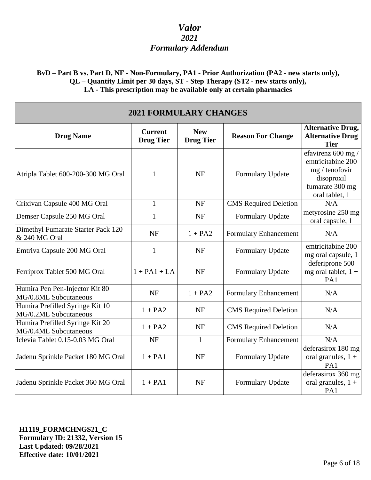**BvD – Part B vs. Part D, NF - Non-Formulary, PA1 - Prior Authorization (PA2 - new starts only), QL – Quantity Limit per 30 days, ST - Step Therapy (ST2 - new starts only), LA - This prescription may be available only at certain pharmacies**

| <b>2021 FORMULARY CHANGES</b>                            |                                    |                                |                              |                                                                                                              |
|----------------------------------------------------------|------------------------------------|--------------------------------|------------------------------|--------------------------------------------------------------------------------------------------------------|
| <b>Drug Name</b>                                         | <b>Current</b><br><b>Drug Tier</b> | <b>New</b><br><b>Drug Tier</b> | <b>Reason For Change</b>     | <b>Alternative Drug,</b><br><b>Alternative Drug</b><br><b>Tier</b>                                           |
| Atripla Tablet 600-200-300 MG Oral                       | 1                                  | <b>NF</b>                      | Formulary Update             | efavirenz 600 mg /<br>emtricitabine 200<br>mg / tenofovir<br>disoproxil<br>fumarate 300 mg<br>oral tablet, 1 |
| Crixivan Capsule 400 MG Oral                             | $\mathbf{1}$                       | <b>NF</b>                      | <b>CMS</b> Required Deletion | N/A                                                                                                          |
| Demser Capsule 250 MG Oral                               | 1                                  | <b>NF</b>                      | Formulary Update             | metyrosine 250 mg<br>oral capsule, 1                                                                         |
| Dimethyl Fumarate Starter Pack 120<br>& 240 MG Oral      | <b>NF</b>                          | $1 + PA2$                      | Formulary Enhancement        | N/A                                                                                                          |
| Emtriva Capsule 200 MG Oral                              | $\mathbf{1}$                       | <b>NF</b>                      | Formulary Update             | emtricitabine 200<br>mg oral capsule, 1                                                                      |
| Ferriprox Tablet 500 MG Oral                             | $1 + PA1 + LA$                     | <b>NF</b>                      | Formulary Update             | deferiprone 500<br>mg oral tablet, $1 +$<br>PA1                                                              |
| Humira Pen Pen-Injector Kit 80<br>MG/0.8ML Subcutaneous  | <b>NF</b>                          | $1 + PA2$                      | Formulary Enhancement        | N/A                                                                                                          |
| Humira Prefilled Syringe Kit 10<br>MG/0.2ML Subcutaneous | $1 + PA2$                          | <b>NF</b>                      | <b>CMS</b> Required Deletion | N/A                                                                                                          |
| Humira Prefilled Syringe Kit 20<br>MG/0.4ML Subcutaneous | $1 + PA2$                          | <b>NF</b>                      | <b>CMS</b> Required Deletion | N/A                                                                                                          |
| Iclevia Tablet 0.15-0.03 MG Oral                         | <b>NF</b>                          | 1                              | Formulary Enhancement        | N/A                                                                                                          |
| Jadenu Sprinkle Packet 180 MG Oral                       | $1 + PA1$                          | <b>NF</b>                      | Formulary Update             | deferasirox 180 mg<br>oral granules, $1 +$<br>PA1                                                            |
| Jadenu Sprinkle Packet 360 MG Oral                       | $1 + PA1$                          | <b>NF</b>                      | Formulary Update             | deferasirox 360 mg<br>oral granules, $1 +$<br>PA1                                                            |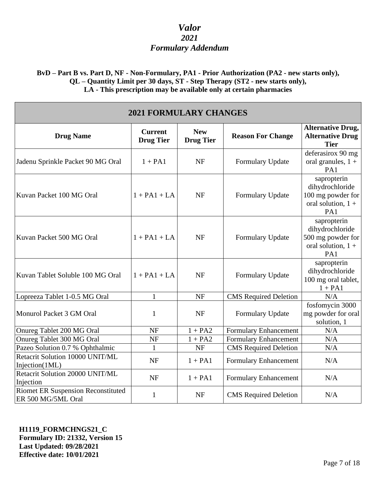### **BvD – Part B vs. Part D, NF - Non-Formulary, PA1 - Prior Authorization (PA2 - new starts only), QL – Quantity Limit per 30 days, ST - Step Therapy (ST2 - new starts only), LA - This prescription may be available only at certain pharmacies**

| <b>2021 FORMULARY CHANGES</b>                                   |                                    |                                |                              |                                                                                    |
|-----------------------------------------------------------------|------------------------------------|--------------------------------|------------------------------|------------------------------------------------------------------------------------|
| <b>Drug Name</b>                                                | <b>Current</b><br><b>Drug Tier</b> | <b>New</b><br><b>Drug Tier</b> | <b>Reason For Change</b>     | <b>Alternative Drug,</b><br><b>Alternative Drug</b><br><b>Tier</b>                 |
| Jadenu Sprinkle Packet 90 MG Oral                               | $1 + PA1$                          | <b>NF</b>                      | Formulary Update             | deferasirox 90 mg<br>oral granules, $1 +$<br>PA1                                   |
| Kuvan Packet 100 MG Oral                                        | $1 + PA1 + LA$                     | <b>NF</b>                      | Formulary Update             | sapropterin<br>dihydrochloride<br>100 mg powder for<br>oral solution, $1 +$<br>PA1 |
| Kuvan Packet 500 MG Oral                                        | $1 + PA1 + LA$                     | <b>NF</b>                      | Formulary Update             | sapropterin<br>dihydrochloride<br>500 mg powder for<br>oral solution, $1 +$<br>PA1 |
| Kuvan Tablet Soluble 100 MG Oral                                | $1 + PA1 + LA$                     | <b>NF</b>                      | Formulary Update             | sapropterin<br>dihydrochloride<br>100 mg oral tablet,<br>$1 + PA1$                 |
| Lopreeza Tablet 1-0.5 MG Oral                                   | $\mathbf{1}$                       | <b>NF</b>                      | <b>CMS</b> Required Deletion | N/A                                                                                |
| Monurol Packet 3 GM Oral                                        | $\mathbf{1}$                       | <b>NF</b>                      | Formulary Update             | fosfomycin 3000<br>mg powder for oral<br>solution, 1                               |
| Onureg Tablet 200 MG Oral                                       | NF                                 | $1 + PA2$                      | <b>Formulary Enhancement</b> | N/A                                                                                |
| Onureg Tablet 300 MG Oral                                       | <b>NF</b>                          | $1 + PA2$                      | <b>Formulary Enhancement</b> | N/A                                                                                |
| Pazeo Solution 0.7 % Ophthalmic                                 | 1                                  | <b>NF</b>                      | <b>CMS</b> Required Deletion | N/A                                                                                |
| Retacrit Solution 10000 UNIT/ML<br>Injection(1ML)               | <b>NF</b>                          | $1 + PA1$                      | <b>Formulary Enhancement</b> | N/A                                                                                |
| Retacrit Solution 20000 UNIT/ML<br>Injection                    | <b>NF</b>                          | $1 + PA1$                      | Formulary Enhancement        | N/A                                                                                |
| <b>Riomet ER Suspension Reconstituted</b><br>ER 500 MG/5ML Oral | $\mathbf{1}$                       | <b>NF</b>                      | <b>CMS</b> Required Deletion | N/A                                                                                |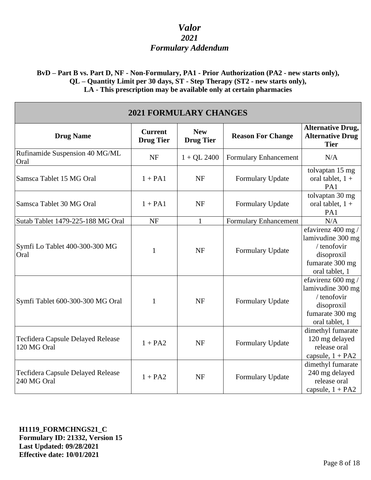**BvD – Part B vs. Part D, NF - Non-Formulary, PA1 - Prior Authorization (PA2 - new starts only), QL – Quantity Limit per 30 days, ST - Step Therapy (ST2 - new starts only), LA - This prescription may be available only at certain pharmacies**

| <b>2021 FORMULARY CHANGES</b>                           |                                    |                                |                          |                                                                                                           |
|---------------------------------------------------------|------------------------------------|--------------------------------|--------------------------|-----------------------------------------------------------------------------------------------------------|
| <b>Drug Name</b>                                        | <b>Current</b><br><b>Drug Tier</b> | <b>New</b><br><b>Drug Tier</b> | <b>Reason For Change</b> | <b>Alternative Drug,</b><br><b>Alternative Drug</b><br><b>Tier</b>                                        |
| Rufinamide Suspension 40 MG/ML<br>Oral                  | <b>NF</b>                          | $1 + QL$ 2400                  | Formulary Enhancement    | N/A                                                                                                       |
| Samsca Tablet 15 MG Oral                                | $1 + PA1$                          | <b>NF</b>                      | Formulary Update         | tolvaptan 15 mg<br>oral tablet, $1 +$<br>PA1                                                              |
| Samsca Tablet 30 MG Oral                                | $1 + PA1$                          | <b>NF</b>                      | Formulary Update         | tolvaptan 30 mg<br>oral tablet, $1 +$<br>PA1                                                              |
| Sutab Tablet 1479-225-188 MG Oral                       | NF                                 | $\mathbf{1}$                   | Formulary Enhancement    | N/A                                                                                                       |
| Symfi Lo Tablet 400-300-300 MG<br>Oral                  | 1                                  | <b>NF</b>                      | Formulary Update         | efavirenz 400 mg /<br>lamivudine 300 mg<br>/ tenofovir<br>disoproxil<br>fumarate 300 mg<br>oral tablet, 1 |
| Symfi Tablet 600-300-300 MG Oral                        | 1                                  | <b>NF</b>                      | Formulary Update         | efavirenz 600 mg /<br>lamivudine 300 mg<br>/ tenofovir<br>disoproxil<br>fumarate 300 mg<br>oral tablet, 1 |
| Tecfidera Capsule Delayed Release<br>120 MG Oral        | $1 + PA2$                          | <b>NF</b>                      | Formulary Update         | dimethyl fumarate<br>120 mg delayed<br>release oral<br>capsule, $1 + PA2$                                 |
| <b>Tecfidera Capsule Delayed Release</b><br>240 MG Oral | $1 + PA2$                          | <b>NF</b>                      | Formulary Update         | dimethyl fumarate<br>240 mg delayed<br>release oral<br>capsule, $1 + PA2$                                 |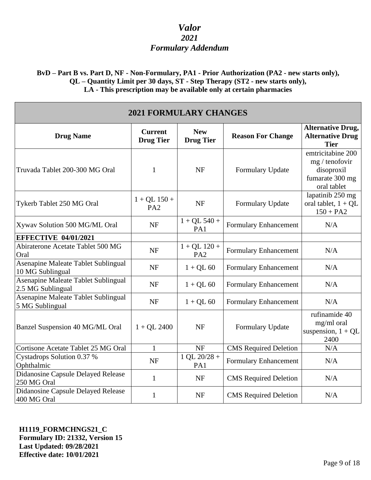**BvD – Part B vs. Part D, NF - Non-Formulary, PA1 - Prior Authorization (PA2 - new starts only), QL – Quantity Limit per 30 days, ST - Step Therapy (ST2 - new starts only), LA - This prescription may be available only at certain pharmacies**

| <b>2021 FORMULARY CHANGES</b>                            |                                    |                                   |                              |                                                                                     |
|----------------------------------------------------------|------------------------------------|-----------------------------------|------------------------------|-------------------------------------------------------------------------------------|
| <b>Drug Name</b>                                         | <b>Current</b><br><b>Drug Tier</b> | <b>New</b><br><b>Drug Tier</b>    | <b>Reason For Change</b>     | <b>Alternative Drug,</b><br><b>Alternative Drug</b><br><b>Tier</b>                  |
| Truvada Tablet 200-300 MG Oral                           | 1                                  | <b>NF</b>                         | Formulary Update             | emtricitabine 200<br>mg / tenofovir<br>disoproxil<br>fumarate 300 mg<br>oral tablet |
| Tykerb Tablet 250 MG Oral                                | $1 + QL$ 150 +<br>PA <sub>2</sub>  | <b>NF</b>                         | Formulary Update             | lapatinib 250 mg<br>oral tablet, $1 + QL$<br>$150 + PA2$                            |
| Xywav Solution 500 MG/ML Oral                            | <b>NF</b>                          | $1 + QL$ 540 +<br>PA1             | <b>Formulary Enhancement</b> | N/A                                                                                 |
| <b>EFFECTIVE 04/01/2021</b>                              |                                    |                                   |                              |                                                                                     |
| Abiraterone Acetate Tablet 500 MG<br>Oral                | <b>NF</b>                          | $1 + QL$ 120 +<br>PA <sub>2</sub> | Formulary Enhancement        | N/A                                                                                 |
| Asenapine Maleate Tablet Sublingual<br>10 MG Sublingual  | <b>NF</b>                          | $1 + QL 60$                       | Formulary Enhancement        | N/A                                                                                 |
| Asenapine Maleate Tablet Sublingual<br>2.5 MG Sublingual | <b>NF</b>                          | $1 + QL 60$                       | Formulary Enhancement        | N/A                                                                                 |
| Asenapine Maleate Tablet Sublingual<br>5 MG Sublingual   | <b>NF</b>                          | $1 + QL 60$                       | Formulary Enhancement        | N/A                                                                                 |
| Banzel Suspension 40 MG/ML Oral                          | $1 + QL$ 2400                      | <b>NF</b>                         | Formulary Update             | rufinamide 40<br>mg/ml oral<br>suspension, $1 + QL$<br>2400                         |
| Cortisone Acetate Tablet 25 MG Oral                      | $\mathbf{1}$                       | <b>NF</b>                         | <b>CMS</b> Required Deletion | N/A                                                                                 |
| Cystadrops Solution 0.37 %<br>Ophthalmic                 | <b>NF</b>                          | $1$ QL 20/28 +<br>PA1             | <b>Formulary Enhancement</b> | N/A                                                                                 |
| Didanosine Capsule Delayed Release<br>250 MG Oral        | $\mathbf{1}$                       | <b>NF</b>                         | <b>CMS</b> Required Deletion | N/A                                                                                 |
| Didanosine Capsule Delayed Release<br>400 MG Oral        | $\mathbf{1}$                       | <b>NF</b>                         | <b>CMS</b> Required Deletion | N/A                                                                                 |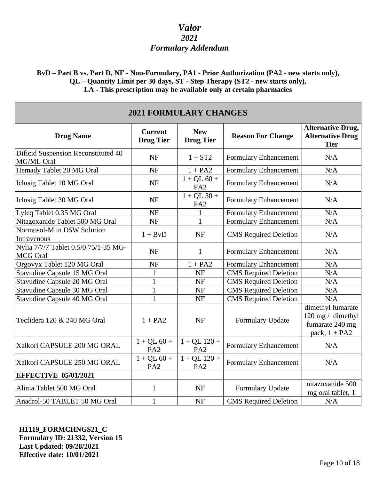**BvD – Part B vs. Part D, NF - Non-Formulary, PA1 - Prior Authorization (PA2 - new starts only), QL – Quantity Limit per 30 days, ST - Step Therapy (ST2 - new starts only), LA - This prescription may be available only at certain pharmacies**

| <b>2021 FORMULARY CHANGES</b>                           |                                    |                                   |                              |                                                                              |
|---------------------------------------------------------|------------------------------------|-----------------------------------|------------------------------|------------------------------------------------------------------------------|
| <b>Drug Name</b>                                        | <b>Current</b><br><b>Drug Tier</b> | <b>New</b><br><b>Drug Tier</b>    | <b>Reason For Change</b>     | <b>Alternative Drug,</b><br><b>Alternative Drug</b><br><b>Tier</b>           |
| Dificid Suspension Reconstituted 40<br>MG/ML Oral       | <b>NF</b>                          | $1 + ST2$                         | Formulary Enhancement        | N/A                                                                          |
| Hemady Tablet 20 MG Oral                                | <b>NF</b>                          | $1 + PA2$                         | Formulary Enhancement        | N/A                                                                          |
| Iclusig Tablet 10 MG Oral                               | <b>NF</b>                          | $1 + QL 60 +$<br>PA <sub>2</sub>  | Formulary Enhancement        | N/A                                                                          |
| Iclusig Tablet 30 MG Oral                               | <b>NF</b>                          | $1 + QL$ 30 +<br>PA <sub>2</sub>  | Formulary Enhancement        | N/A                                                                          |
| Lyleq Tablet 0.35 MG Oral                               | <b>NF</b>                          |                                   | Formulary Enhancement        | N/A                                                                          |
| Nitazoxanide Tablet 500 MG Oral                         | NF                                 | $\mathbf{1}$                      | Formulary Enhancement        | $\rm N/A$                                                                    |
| Normosol-M in D5W Solution<br>Intravenous               | $1 + BvD$                          | <b>NF</b>                         | <b>CMS</b> Required Deletion | N/A                                                                          |
| Nylia 7/7/7 Tablet 0.5/0.75/1-35 MG-<br><b>MCG</b> Oral | <b>NF</b>                          | $\mathbf{1}$                      | Formulary Enhancement        | N/A                                                                          |
| Orgovyx Tablet 120 MG Oral                              | <b>NF</b>                          | $1 + PA2$                         | <b>Formulary Enhancement</b> | N/A                                                                          |
| Stavudine Capsule 15 MG Oral                            | $\mathbf{1}$                       | <b>NF</b>                         | <b>CMS</b> Required Deletion | N/A                                                                          |
| Stavudine Capsule 20 MG Oral                            | $\mathbf{1}$                       | <b>NF</b>                         | <b>CMS</b> Required Deletion | N/A                                                                          |
| <b>Stavudine Capsule 30 MG Oral</b>                     | $\mathbf{1}$                       | <b>NF</b>                         | <b>CMS</b> Required Deletion | N/A                                                                          |
| Stavudine Capsule 40 MG Oral                            | $\mathbf{1}$                       | <b>NF</b>                         | <b>CMS</b> Required Deletion | N/A                                                                          |
| Tecfidera 120 & 240 MG Oral                             | $1 + PA2$                          | <b>NF</b>                         | Formulary Update             | dimethyl fumarate<br>120 mg / dimethyl<br>fumarate 240 mg<br>pack, $1 + PA2$ |
| Xalkori CAPSULE 200 MG ORAL                             | $1 + QL 60 +$<br>PA <sub>2</sub>   | $1 + QL$ 120 +<br>PA <sub>2</sub> | Formulary Enhancement        | N/A                                                                          |
| Xalkori CAPSULE 250 MG ORAL                             | $1 + QL 60 +$<br>PA <sub>2</sub>   | $1 + QL$ 120 +<br>PA <sub>2</sub> | <b>Formulary Enhancement</b> | N/A                                                                          |
| <b>EFFECTIVE 05/01/2021</b>                             |                                    |                                   |                              |                                                                              |
| Alinia Tablet 500 MG Oral                               | $\mathbf{1}$                       | <b>NF</b>                         | Formulary Update             | nitazoxanide 500<br>mg oral tablet, 1                                        |
| Anadrol-50 TABLET 50 MG Oral                            | $\mathbf{1}$                       | <b>NF</b>                         | <b>CMS</b> Required Deletion | N/A                                                                          |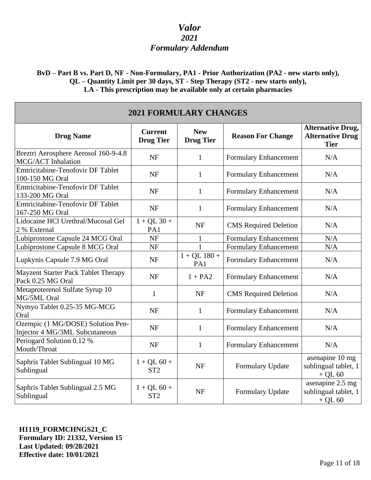### **BvD – Part B vs. Part D, NF - Non-Formulary, PA1 - Prior Authorization (PA2 - new starts only), QL – Quantity Limit per 30 days, ST - Step Therapy (ST2 - new starts only), LA - This prescription may be available only at certain pharmacies**

| <b>2021 FORMULARY CHANGES</b>                                       |                                    |                                |                              |                                                                    |
|---------------------------------------------------------------------|------------------------------------|--------------------------------|------------------------------|--------------------------------------------------------------------|
| <b>Drug Name</b>                                                    | <b>Current</b><br><b>Drug Tier</b> | <b>New</b><br><b>Drug Tier</b> | <b>Reason For Change</b>     | <b>Alternative Drug,</b><br><b>Alternative Drug</b><br><b>Tier</b> |
| Breztri Aerosphere Aerosol 160-9-4.8<br><b>MCG/ACT</b> Inhalation   | <b>NF</b>                          | $\mathbf{1}$                   | Formulary Enhancement        | N/A                                                                |
| <b>Emtricitabine-Tenofovir DF Tablet</b><br>100-150 MG Oral         | <b>NF</b>                          | $\mathbf{1}$                   | Formulary Enhancement        | N/A                                                                |
| <b>Emtricitabine-Tenofovir DF Tablet</b><br>133-200 MG Oral         | <b>NF</b>                          | $\mathbf{1}$                   | Formulary Enhancement        | N/A                                                                |
| <b>Emtricitabine-Tenofovir DF Tablet</b><br>167-250 MG Oral         | <b>NF</b>                          | $\mathbf{1}$                   | Formulary Enhancement        | N/A                                                                |
| Lidocaine HCl Urethral/Mucosal Gel<br>2 % External                  | $1 + QL$ 30 +<br>PA1               | <b>NF</b>                      | <b>CMS</b> Required Deletion | N/A                                                                |
| Lubiprostone Capsule 24 MCG Oral                                    | <b>NF</b>                          | 1                              | Formulary Enhancement        | N/A                                                                |
| Lubiprostone Capsule 8 MCG Oral                                     | NF                                 | $\mathbf{1}$                   | <b>Formulary Enhancement</b> | N/A                                                                |
| Lupkynis Capsule 7.9 MG Oral                                        | <b>NF</b>                          | $1 + QL$ 180 +<br>PA1          | Formulary Enhancement        | N/A                                                                |
| Mayzent Starter Pack Tablet Therapy<br>Pack 0.25 MG Oral            | <b>NF</b>                          | $1 + PA2$                      | Formulary Enhancement        | N/A                                                                |
| Metaproterenol Sulfate Syrup 10<br>MG/5ML Oral                      | $\mathbf{1}$                       | <b>NF</b>                      | <b>CMS</b> Required Deletion | N/A                                                                |
| Nymyo Tablet 0.25-35 MG-MCG<br>Oral                                 | <b>NF</b>                          | 1                              | Formulary Enhancement        | N/A                                                                |
| Ozempic (1 MG/DOSE) Solution Pen-<br>Injector 4 MG/3ML Subcutaneous | <b>NF</b>                          | $\mathbf{1}$                   | Formulary Enhancement        | N/A                                                                |
| Periogard Solution 0.12 %<br>Mouth/Throat                           | <b>NF</b>                          | $\mathbf{1}$                   | Formulary Enhancement        | N/A                                                                |
| Saphris Tablet Sublingual 10 MG<br>Sublingual                       | $1 + QL 60 +$<br>ST <sub>2</sub>   | <b>NF</b>                      | Formulary Update             | asenapine 10 mg<br>sublingual tablet, 1<br>$+$ QL 60               |
| Saphris Tablet Sublingual 2.5 MG<br>Sublingual                      | $1 + QL 60 +$<br>ST <sub>2</sub>   | <b>NF</b>                      | Formulary Update             | asenapine 2.5 mg<br>sublingual tablet, 1<br>$+$ QL 60              |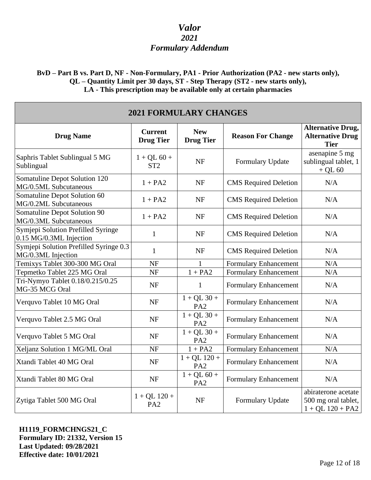### **BvD – Part B vs. Part D, NF - Non-Formulary, PA1 - Prior Authorization (PA2 - new starts only), QL – Quantity Limit per 30 days, ST - Step Therapy (ST2 - new starts only), LA - This prescription may be available only at certain pharmacies**

| <b>2021 FORMULARY CHANGES</b>                                 |                                    |                                   |                              |                                                                    |
|---------------------------------------------------------------|------------------------------------|-----------------------------------|------------------------------|--------------------------------------------------------------------|
| <b>Drug Name</b>                                              | <b>Current</b><br><b>Drug Tier</b> | <b>New</b><br><b>Drug Tier</b>    | <b>Reason For Change</b>     | <b>Alternative Drug,</b><br><b>Alternative Drug</b><br><b>Tier</b> |
| Saphris Tablet Sublingual 5 MG<br>Sublingual                  | $1 + QL 60 +$<br>ST <sub>2</sub>   | <b>NF</b>                         | Formulary Update             | asenapine 5 mg<br>sublingual tablet, 1<br>$+$ QL 60                |
| Somatuline Depot Solution 120<br>MG/0.5ML Subcutaneous        | $1 + PA2$                          | <b>NF</b>                         | <b>CMS</b> Required Deletion | N/A                                                                |
| Somatuline Depot Solution 60<br>MG/0.2ML Subcutaneous         | $1 + PA2$                          | <b>NF</b>                         | <b>CMS</b> Required Deletion | N/A                                                                |
| Somatuline Depot Solution 90<br>MG/0.3ML Subcutaneous         | $1 + PA2$                          | <b>NF</b>                         | <b>CMS</b> Required Deletion | N/A                                                                |
| Symjepi Solution Prefilled Syringe<br>0.15 MG/0.3ML Injection | $\mathbf{1}$                       | <b>NF</b>                         | <b>CMS</b> Required Deletion | N/A                                                                |
| Symjepi Solution Prefilled Syringe 0.3<br>MG/0.3ML Injection  | $\mathbf{1}$                       | <b>NF</b>                         | <b>CMS</b> Required Deletion | N/A                                                                |
| Temixys Tablet 300-300 MG Oral                                | <b>NF</b>                          | $\mathbf{1}$                      | Formulary Enhancement        | N/A                                                                |
| Tepmetko Tablet 225 MG Oral                                   | <b>NF</b>                          | $1 + PA2$                         | Formulary Enhancement        | N/A                                                                |
| Tri-Nymyo Tablet 0.18/0.215/0.25<br>MG-35 MCG Oral            | NF                                 | $\mathbf{1}$                      | Formulary Enhancement        | N/A                                                                |
| Verquvo Tablet 10 MG Oral                                     | <b>NF</b>                          | $1 + QL$ 30 +<br>PA <sub>2</sub>  | Formulary Enhancement        | N/A                                                                |
| Verquvo Tablet 2.5 MG Oral                                    | <b>NF</b>                          | $1 + QL$ 30 +<br>PA <sub>2</sub>  | Formulary Enhancement        | N/A                                                                |
| Verquvo Tablet 5 MG Oral                                      | <b>NF</b>                          | $1 + QL$ 30 +<br>PA <sub>2</sub>  | Formulary Enhancement        | N/A                                                                |
| Xeljanz Solution 1 MG/ML Oral                                 | <b>NF</b>                          | $1 + PA2$                         | Formulary Enhancement        | N/A                                                                |
| Xtandi Tablet 40 MG Oral                                      | <b>NF</b>                          | $1 + QL$ 120 +<br>PA <sub>2</sub> | Formulary Enhancement        | N/A                                                                |
| Xtandi Tablet 80 MG Oral                                      | <b>NF</b>                          | $1 + QL 60 +$<br>PA <sub>2</sub>  | Formulary Enhancement        | N/A                                                                |
| Zytiga Tablet 500 MG Oral                                     | $1 + QL$ 120 +<br>PA <sub>2</sub>  | <b>NF</b>                         | Formulary Update             | abiraterone acetate<br>500 mg oral tablet,<br>$1 + QL 120 + PA2$   |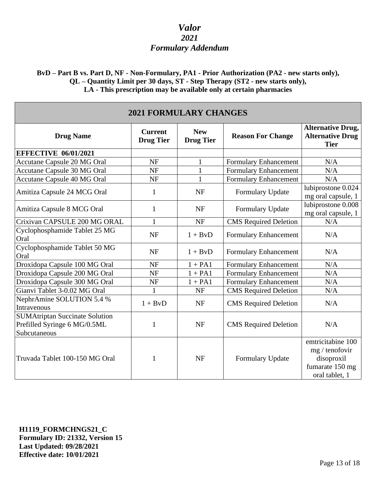### **BvD – Part B vs. Part D, NF - Non-Formulary, PA1 - Prior Authorization (PA2 - new starts only), QL – Quantity Limit per 30 days, ST - Step Therapy (ST2 - new starts only), LA - This prescription may be available only at certain pharmacies**

| <b>2021 FORMULARY CHANGES</b>                                                         |                                    |                                |                              |                                                                                        |
|---------------------------------------------------------------------------------------|------------------------------------|--------------------------------|------------------------------|----------------------------------------------------------------------------------------|
| <b>Drug Name</b>                                                                      | <b>Current</b><br><b>Drug Tier</b> | <b>New</b><br><b>Drug Tier</b> | <b>Reason For Change</b>     | <b>Alternative Drug,</b><br><b>Alternative Drug</b><br><b>Tier</b>                     |
| <b>EFFECTIVE 06/01/2021</b>                                                           |                                    |                                |                              |                                                                                        |
| <b>Accutane Capsule 20 MG Oral</b>                                                    | <b>NF</b>                          | 1                              | <b>Formulary Enhancement</b> | N/A                                                                                    |
| <b>Accutane Capsule 30 MG Oral</b>                                                    | <b>NF</b>                          | $\mathbf{1}$                   | <b>Formulary Enhancement</b> | N/A                                                                                    |
| Accutane Capsule 40 MG Oral                                                           | <b>NF</b>                          | $\mathbf{1}$                   | Formulary Enhancement        | N/A                                                                                    |
| Amitiza Capsule 24 MCG Oral                                                           | 1                                  | <b>NF</b>                      | Formulary Update             | lubiprostone 0.024<br>mg oral capsule, 1                                               |
| Amitiza Capsule 8 MCG Oral                                                            | $\mathbf{1}$                       | <b>NF</b>                      | Formulary Update             | lubiprostone 0.008<br>mg oral capsule, 1                                               |
| Crixivan CAPSULE 200 MG ORAL                                                          | $\mathbf{1}$                       | <b>NF</b>                      | <b>CMS</b> Required Deletion | N/A                                                                                    |
| Cyclophosphamide Tablet 25 MG<br>Oral                                                 | <b>NF</b>                          | $1 + BvD$                      | <b>Formulary Enhancement</b> | N/A                                                                                    |
| Cyclophosphamide Tablet 50 MG<br>Oral                                                 | <b>NF</b>                          | $1 + BvD$                      | Formulary Enhancement        | N/A                                                                                    |
| Droxidopa Capsule 100 MG Oral                                                         | <b>NF</b>                          | $1 + PA1$                      | <b>Formulary Enhancement</b> | N/A                                                                                    |
| Droxidopa Capsule 200 MG Oral                                                         | <b>NF</b>                          | $1 + PA1$                      | <b>Formulary Enhancement</b> | N/A                                                                                    |
| Droxidopa Capsule 300 MG Oral                                                         | <b>NF</b>                          | $1 + PA1$                      | <b>Formulary Enhancement</b> | N/A                                                                                    |
| Gianvi Tablet 3-0.02 MG Oral                                                          | $\mathbf{1}$                       | <b>NF</b>                      | <b>CMS</b> Required Deletion | N/A                                                                                    |
| NephrAmine SOLUTION 5.4 %<br>Intravenous                                              | $1 + BvD$                          | <b>NF</b>                      | <b>CMS</b> Required Deletion | N/A                                                                                    |
| <b>SUMAtriptan Succinate Solution</b><br>Prefilled Syringe 6 MG/0.5ML<br>Subcutaneous | $\mathbf{1}$                       | <b>NF</b>                      | <b>CMS</b> Required Deletion | N/A                                                                                    |
| Truvada Tablet 100-150 MG Oral                                                        | 1                                  | <b>NF</b>                      | Formulary Update             | emtricitabine 100<br>mg / tenofovir<br>disoproxil<br>fumarate 150 mg<br>oral tablet, 1 |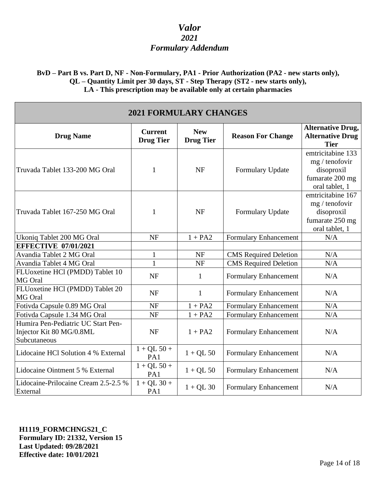**BvD – Part B vs. Part D, NF - Non-Formulary, PA1 - Prior Authorization (PA2 - new starts only), QL – Quantity Limit per 30 days, ST - Step Therapy (ST2 - new starts only), LA - This prescription may be available only at certain pharmacies**

| <b>2021 FORMULARY CHANGES</b>                                                  |                                    |                                |                              |                                                                                                 |
|--------------------------------------------------------------------------------|------------------------------------|--------------------------------|------------------------------|-------------------------------------------------------------------------------------------------|
| <b>Drug Name</b>                                                               | <b>Current</b><br><b>Drug Tier</b> | <b>New</b><br><b>Drug Tier</b> | <b>Reason For Change</b>     | <b>Alternative Drug,</b><br><b>Alternative Drug</b><br><b>Tier</b>                              |
| Truvada Tablet 133-200 MG Oral                                                 | 1                                  | <b>NF</b>                      | Formulary Update             | emtricitabine 133<br>$mg / \text{tenofovir}$<br>disoproxil<br>fumarate 200 mg<br>oral tablet, 1 |
| Truvada Tablet 167-250 MG Oral                                                 | $\mathbf{1}$                       | <b>NF</b>                      | Formulary Update             | emtricitabine 167<br>$mg / \text{tenofovir}$<br>disoproxil<br>fumarate 250 mg<br>oral tablet, 1 |
| Ukoniq Tablet 200 MG Oral                                                      | <b>NF</b>                          | $1 + PA2$                      | <b>Formulary Enhancement</b> | N/A                                                                                             |
| <b>EFFECTIVE 07/01/2021</b>                                                    |                                    |                                |                              |                                                                                                 |
| Avandia Tablet 2 MG Oral                                                       | $\mathbf{1}$                       | <b>NF</b>                      | CMS Required Deletion        | N/A                                                                                             |
| Avandia Tablet 4 MG Oral                                                       | $\mathbf{1}$                       | <b>NF</b>                      | <b>CMS</b> Required Deletion | N/A                                                                                             |
| FLUoxetine HCl (PMDD) Tablet 10<br>MG Oral                                     | <b>NF</b>                          | 1                              | <b>Formulary Enhancement</b> | N/A                                                                                             |
| FLUoxetine HCl (PMDD) Tablet 20<br>MG Oral                                     | <b>NF</b>                          | $\mathbf{1}$                   | <b>Formulary Enhancement</b> | N/A                                                                                             |
| Fotivda Capsule 0.89 MG Oral                                                   | <b>NF</b>                          | $1 + PA2$                      | Formulary Enhancement        | N/A                                                                                             |
| Fotivda Capsule 1.34 MG Oral                                                   | <b>NF</b>                          | $1 + PA2$                      | Formulary Enhancement        | N/A                                                                                             |
| Humira Pen-Pediatric UC Start Pen-<br>Injector Kit 80 MG/0.8ML<br>Subcutaneous | <b>NF</b>                          | $1 + PA2$                      | <b>Formulary Enhancement</b> | N/A                                                                                             |
| Lidocaine HCl Solution 4 % External                                            | $1 + QL 50 +$<br>PA1               | $1 + QL$ 50                    | Formulary Enhancement        | N/A                                                                                             |
| Lidocaine Ointment 5 % External                                                | $1 + QL 50 +$<br>PA1               | $1 + QL$ 50                    | Formulary Enhancement        | N/A                                                                                             |
| Lidocaine-Prilocaine Cream 2.5-2.5 %<br>External                               | $1 + QL$ 30 +<br>PA1               | $1 + QL$ 30                    | Formulary Enhancement        | N/A                                                                                             |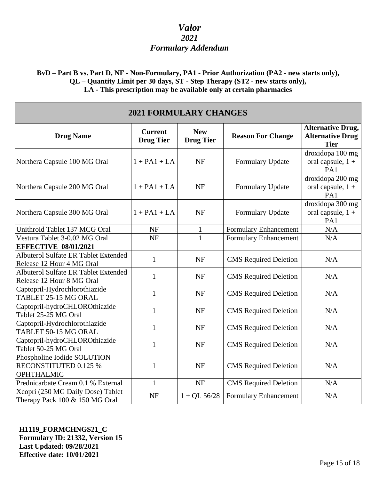### **BvD – Part B vs. Part D, NF - Non-Formulary, PA1 - Prior Authorization (PA2 - new starts only), QL – Quantity Limit per 30 days, ST - Step Therapy (ST2 - new starts only), LA - This prescription may be available only at certain pharmacies**

| <b>2021 FORMULARY CHANGES</b>                                             |                                    |                                |                              |                                                                    |
|---------------------------------------------------------------------------|------------------------------------|--------------------------------|------------------------------|--------------------------------------------------------------------|
| <b>Drug Name</b>                                                          | <b>Current</b><br><b>Drug Tier</b> | <b>New</b><br><b>Drug Tier</b> | <b>Reason For Change</b>     | <b>Alternative Drug,</b><br><b>Alternative Drug</b><br><b>Tier</b> |
| Northera Capsule 100 MG Oral                                              | $1 + PA1 + LA$                     | <b>NF</b>                      | Formulary Update             | droxidopa 100 mg<br>oral capsule, $1 +$<br>PA1                     |
| Northera Capsule 200 MG Oral                                              | $1 + PA1 + LA$                     | <b>NF</b>                      | Formulary Update             | droxidopa 200 mg<br>oral capsule, 1 +<br>PA1                       |
| Northera Capsule 300 MG Oral                                              | $1 + PA1 + LA$                     | <b>NF</b>                      | Formulary Update             | droxidopa 300 mg<br>oral capsule, $1 +$<br>PA1                     |
| Unithroid Tablet 137 MCG Oral                                             | <b>NF</b>                          | $\mathbf{1}$                   | Formulary Enhancement        | N/A                                                                |
| Vestura Tablet 3-0.02 MG Oral                                             | NF                                 | 1                              | <b>Formulary Enhancement</b> | N/A                                                                |
| <b>EFFECTIVE 08/01/2021</b>                                               |                                    |                                |                              |                                                                    |
| Albuterol Sulfate ER Tablet Extended<br>Release 12 Hour 4 MG Oral         | $\mathbf{1}$                       | <b>NF</b>                      | <b>CMS</b> Required Deletion | N/A                                                                |
| Albuterol Sulfate ER Tablet Extended<br>Release 12 Hour 8 MG Oral         | $\mathbf{1}$                       | <b>NF</b>                      | <b>CMS</b> Required Deletion | N/A                                                                |
| Captopril-Hydrochlorothiazide<br>TABLET 25-15 MG ORAL                     | $\mathbf{1}$                       | <b>NF</b>                      | <b>CMS</b> Required Deletion | N/A                                                                |
| Captopril-hydroCHLOROthiazide<br>Tablet 25-25 MG Oral                     | $\mathbf{1}$                       | <b>NF</b>                      | <b>CMS</b> Required Deletion | N/A                                                                |
| Captopril-Hydrochlorothiazide<br>TABLET 50-15 MG ORAL                     | $\mathbf{1}$                       | <b>NF</b>                      | <b>CMS</b> Required Deletion | N/A                                                                |
| Captopril-hydroCHLOROthiazide<br>Tablet 50-25 MG Oral                     | $\mathbf{1}$                       | $\ensuremath{\text{NF}}$       | <b>CMS</b> Required Deletion | N/A                                                                |
| Phospholine Iodide SOLUTION<br>RECONSTITUTED 0.125 %<br><b>OPHTHALMIC</b> | $\mathbf{1}$                       | <b>NF</b>                      | <b>CMS</b> Required Deletion | N/A                                                                |
| Prednicarbate Cream 0.1 % External                                        | $\mathbf{1}$                       | <b>NF</b>                      | <b>CMS</b> Required Deletion | N/A                                                                |
| Xcopri (250 MG Daily Dose) Tablet<br>Therapy Pack 100 & 150 MG Oral       | <b>NF</b>                          | $1 + QL$ 56/28                 | Formulary Enhancement        | N/A                                                                |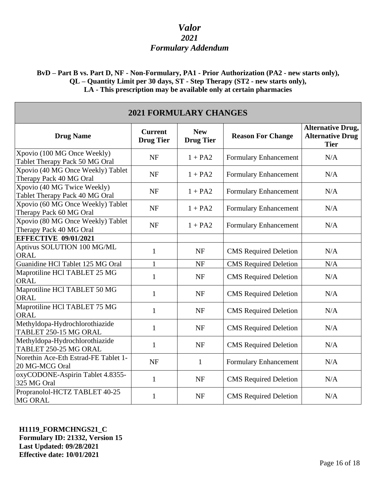**BvD – Part B vs. Part D, NF - Non-Formulary, PA1 - Prior Authorization (PA2 - new starts only), QL – Quantity Limit per 30 days, ST - Step Therapy (ST2 - new starts only), LA - This prescription may be available only at certain pharmacies**

| <b>2021 FORMULARY CHANGES</b>                                 |                                    |                                |                              |                                                                    |
|---------------------------------------------------------------|------------------------------------|--------------------------------|------------------------------|--------------------------------------------------------------------|
| <b>Drug Name</b>                                              | <b>Current</b><br><b>Drug Tier</b> | <b>New</b><br><b>Drug Tier</b> | <b>Reason For Change</b>     | <b>Alternative Drug,</b><br><b>Alternative Drug</b><br><b>Tier</b> |
| Xpovio (100 MG Once Weekly)<br>Tablet Therapy Pack 50 MG Oral | <b>NF</b>                          | $1 + PA2$                      | Formulary Enhancement        | N/A                                                                |
| Xpovio (40 MG Once Weekly) Tablet<br>Therapy Pack 40 MG Oral  | <b>NF</b>                          | $1 + PA2$                      | Formulary Enhancement        | N/A                                                                |
| Xpovio (40 MG Twice Weekly)<br>Tablet Therapy Pack 40 MG Oral | <b>NF</b>                          | $1 + PA2$                      | Formulary Enhancement        | N/A                                                                |
| Xpovio (60 MG Once Weekly) Tablet<br>Therapy Pack 60 MG Oral  | <b>NF</b>                          | $1 + PA2$                      | Formulary Enhancement        | N/A                                                                |
| Xpovio (80 MG Once Weekly) Tablet<br>Therapy Pack 40 MG Oral  | <b>NF</b>                          | $1 + PA2$                      | Formulary Enhancement        | N/A                                                                |
| <b>EFFECTIVE 09/01/2021</b>                                   |                                    |                                |                              |                                                                    |
| Aptivus SOLUTION 100 MG/ML<br>ORAL                            | $\mathbf{1}$                       | <b>NF</b>                      | <b>CMS</b> Required Deletion | N/A                                                                |
| Guanidine HCl Tablet 125 MG Oral                              | $\mathbf{1}$                       | <b>NF</b>                      | CMS Required Deletion        | N/A                                                                |
| Maprotiline HCl TABLET 25 MG<br><b>ORAL</b>                   | $\mathbf{1}$                       | <b>NF</b>                      | <b>CMS</b> Required Deletion | N/A                                                                |
| Maprotiline HCl TABLET 50 MG<br><b>ORAL</b>                   | $\mathbf{1}$                       | <b>NF</b>                      | <b>CMS</b> Required Deletion | N/A                                                                |
| Maprotiline HCl TABLET 75 MG<br><b>ORAL</b>                   | $\mathbf{1}$                       | <b>NF</b>                      | <b>CMS</b> Required Deletion | N/A                                                                |
| Methyldopa-Hydrochlorothiazide<br>TABLET 250-15 MG ORAL       | $\mathbf{1}$                       | <b>NF</b>                      | <b>CMS</b> Required Deletion | N/A                                                                |
| Methyldopa-Hydrochlorothiazide<br>TABLET 250-25 MG ORAL       | $\mathbf{1}$                       | <b>NF</b>                      | <b>CMS</b> Required Deletion | N/A                                                                |
| Norethin Ace-Eth Estrad-FE Tablet 1-<br>20 MG-MCG Oral        | <b>NF</b>                          | $\mathbf{1}$                   | Formulary Enhancement        | N/A                                                                |
| oxyCODONE-Aspirin Tablet 4.8355-<br>325 MG Oral               | $\mathbf{1}$                       | <b>NF</b>                      | <b>CMS</b> Required Deletion | N/A                                                                |
| Propranolol-HCTZ TABLET 40-25<br><b>MG ORAL</b>               | $\mathbf{1}$                       | <b>NF</b>                      | <b>CMS</b> Required Deletion | N/A                                                                |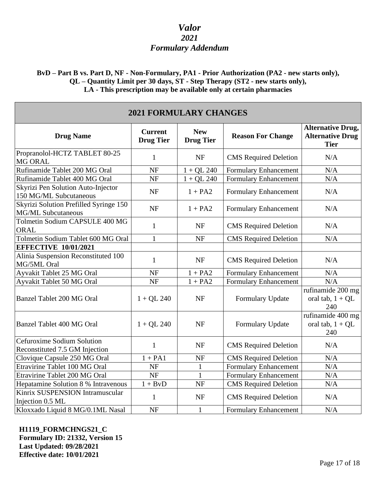### **BvD – Part B vs. Part D, NF - Non-Formulary, PA1 - Prior Authorization (PA2 - new starts only), QL – Quantity Limit per 30 days, ST - Step Therapy (ST2 - new starts only), LA - This prescription may be available only at certain pharmacies**

| <b>2021 FORMULARY CHANGES</b>                                       |                                    |                                |                              |                                                                    |
|---------------------------------------------------------------------|------------------------------------|--------------------------------|------------------------------|--------------------------------------------------------------------|
| <b>Drug Name</b>                                                    | <b>Current</b><br><b>Drug Tier</b> | <b>New</b><br><b>Drug Tier</b> | <b>Reason For Change</b>     | <b>Alternative Drug,</b><br><b>Alternative Drug</b><br><b>Tier</b> |
| Propranolol-HCTZ TABLET 80-25<br>MG ORAL                            | $\mathbf{1}$                       | <b>NF</b>                      | <b>CMS</b> Required Deletion | N/A                                                                |
| Rufinamide Tablet 200 MG Oral                                       | <b>NF</b>                          | $1 + QL$ 240                   | Formulary Enhancement        | N/A                                                                |
| Rufinamide Tablet 400 MG Oral                                       | NF                                 | $1 + QL$ 240                   | Formulary Enhancement        | $\rm N/A$                                                          |
| Skyrizi Pen Solution Auto-Injector<br>150 MG/ML Subcutaneous        | <b>NF</b>                          | $1 + PA2$                      | Formulary Enhancement        | N/A                                                                |
| Skyrizi Solution Prefilled Syringe 150<br><b>MG/ML Subcutaneous</b> | <b>NF</b>                          | $1 + PA2$                      | Formulary Enhancement        | N/A                                                                |
| Tolmetin Sodium CAPSULE 400 MG<br><b>ORAL</b>                       | $\mathbf{1}$                       | <b>NF</b>                      | <b>CMS</b> Required Deletion | N/A                                                                |
| Tolmetin Sodium Tablet 600 MG Oral                                  | $\mathbf{1}$                       | NF                             | <b>CMS</b> Required Deletion | N/A                                                                |
| <b>EFFECTIVE 10/01/2021</b>                                         |                                    |                                |                              |                                                                    |
| Alinia Suspension Reconstituted 100<br>MG/5ML Oral                  | $\mathbf{1}$                       | <b>NF</b>                      | <b>CMS</b> Required Deletion | N/A                                                                |
| Ayvakit Tablet 25 MG Oral                                           | <b>NF</b>                          | $1 + PA2$                      | <b>Formulary Enhancement</b> | N/A                                                                |
| Ayvakit Tablet 50 MG Oral                                           | <b>NF</b>                          | $1 + PA2$                      | Formulary Enhancement        | N/A                                                                |
| <b>Banzel Tablet 200 MG Oral</b>                                    | $1 + QL$ 240                       | <b>NF</b>                      | Formulary Update             | rufinamide 200 mg<br>oral tab, $1 + QL$<br>240                     |
| <b>Banzel Tablet 400 MG Oral</b>                                    | $1 + QL$ 240                       | <b>NF</b>                      | Formulary Update             | rufinamide 400 mg<br>oral tab, $1 + QL$<br>240                     |
| Cefuroxime Sodium Solution<br>Reconstituted 7.5 GM Injection        | $\mathbf{1}$                       | <b>NF</b>                      | <b>CMS</b> Required Deletion | N/A                                                                |
| Clovique Capsule 250 MG Oral                                        | $1 + PA1$                          | NF                             | <b>CMS</b> Required Deletion | $\rm N/A$                                                          |
| Etravirine Tablet 100 MG Oral                                       | <b>NF</b>                          | $\mathbf{1}$                   | <b>Formulary Enhancement</b> | N/A                                                                |
| Etravirine Tablet 200 MG Oral                                       | <b>NF</b>                          | 1                              | Formulary Enhancement        | N/A                                                                |
| Hepatamine Solution 8 % Intravenous                                 | $1 + BvD$                          | <b>NF</b>                      | <b>CMS</b> Required Deletion | $\rm N/A$                                                          |
| Kinrix SUSPENSION Intramuscular<br>Injection 0.5 ML                 | $\mathbf{1}$                       | <b>NF</b>                      | <b>CMS</b> Required Deletion | N/A                                                                |
| Kloxxado Liquid 8 MG/0.1ML Nasal                                    | NF                                 | $\mathbf{1}$                   | Formulary Enhancement        | N/A                                                                |